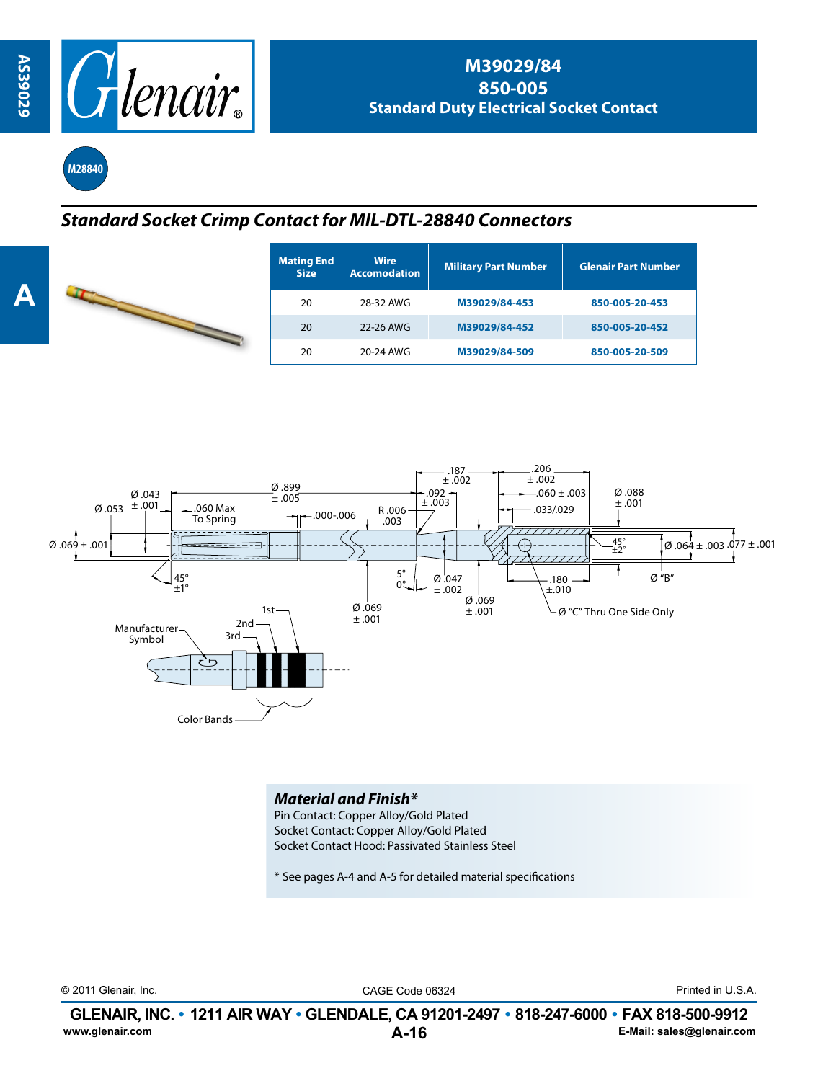

**M28840**

## *Standard Socket Crimp Contact for MIL-DTL-28840 Connectors*

| <b>Mating End</b><br><b>Size</b> | <b>Wire</b><br><b>Accomodation</b> | <b>Military Part Number</b> | <b>Glenair Part Number</b> |  |
|----------------------------------|------------------------------------|-----------------------------|----------------------------|--|
| 20                               | 28-32 AWG                          | M39029/84-453               | 850-005-20-453             |  |
| 20                               | 22-26 AWG                          | M39029/84-452               | 850-005-20-452             |  |
| 20                               | 20-24 AWG                          | M39029/84-509               | 850-005-20-509             |  |



## *Material and Finish\**

Pin Contact: Copper Alloy/Gold Plated Socket Contact: Copper Alloy/Gold Plated Socket Contact Hood: Passivated Stainless Steel

\* See pages A-4 and A-5 for detailed material specifications

© 2011 Glenair, Inc. CAGE Code 06324 Printed in U.S.A.

**A-16 GLENAIR, INC. • 1211 AIR WAY • GLENDALE, CA 91201-2497 • 818-247-6000 • FAX 818-500-9912**<br>E-Mail: sales@glenair.com **www.glenair.com E-Mail: sales@glenair.com**